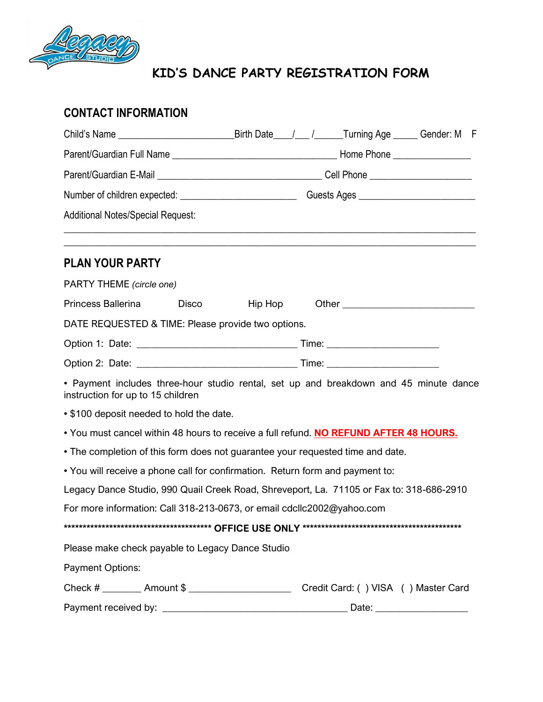

# **KID'S DANCE PARTY REGISTRATION FORM**

### **CONTACT INFORMATION**

| Child's Name ___________________________________Birth Date____/____/______Turning Age ______ Gender: M F                   |  |                                                                                                     |  |  |  |  |
|----------------------------------------------------------------------------------------------------------------------------|--|-----------------------------------------------------------------------------------------------------|--|--|--|--|
|                                                                                                                            |  |                                                                                                     |  |  |  |  |
|                                                                                                                            |  |                                                                                                     |  |  |  |  |
|                                                                                                                            |  | Number of children expected: ________________________________Guests Ages __________________________ |  |  |  |  |
| <b>Additional Notes/Special Request:</b>                                                                                   |  |                                                                                                     |  |  |  |  |
| ,我们也不能在这里的时候,我们也不能在这里的时候,我们也不能不能不能不能不能不能不能不能不能不能不能不能不能不能不能。""我们的是,我们也不能不能不能不能不能不<br><b>PLAN YOUR PARTY</b>                 |  |                                                                                                     |  |  |  |  |
| PARTY THEME (circle one)                                                                                                   |  |                                                                                                     |  |  |  |  |
| Princess Ballerina Disco Hip Hop Other Communication Discover                                                              |  |                                                                                                     |  |  |  |  |
| DATE REQUESTED & TIME: Please provide two options.                                                                         |  |                                                                                                     |  |  |  |  |
|                                                                                                                            |  |                                                                                                     |  |  |  |  |
|                                                                                                                            |  |                                                                                                     |  |  |  |  |
| • Payment includes three-hour studio rental, set up and breakdown and 45 minute dance<br>instruction for up to 15 children |  |                                                                                                     |  |  |  |  |
| • \$100 deposit needed to hold the date.                                                                                   |  |                                                                                                     |  |  |  |  |
| . You must cancel within 48 hours to receive a full refund. NO REFUND AFTER 48 HOURS.                                      |  |                                                                                                     |  |  |  |  |
| • The completion of this form does not guarantee your requested time and date.                                             |  |                                                                                                     |  |  |  |  |
| . You will receive a phone call for confirmation. Return form and payment to:                                              |  |                                                                                                     |  |  |  |  |
| Legacy Dance Studio, 990 Quail Creek Road, Shreveport, La. 71105 or Fax to: 318-686-2910                                   |  |                                                                                                     |  |  |  |  |
| For more information: Call 318-213-0673, or email cdcllc2002@yahoo.com                                                     |  |                                                                                                     |  |  |  |  |
|                                                                                                                            |  |                                                                                                     |  |  |  |  |
| Please make check payable to Legacy Dance Studio                                                                           |  |                                                                                                     |  |  |  |  |
| Payment Options:                                                                                                           |  |                                                                                                     |  |  |  |  |
|                                                                                                                            |  |                                                                                                     |  |  |  |  |
|                                                                                                                            |  |                                                                                                     |  |  |  |  |